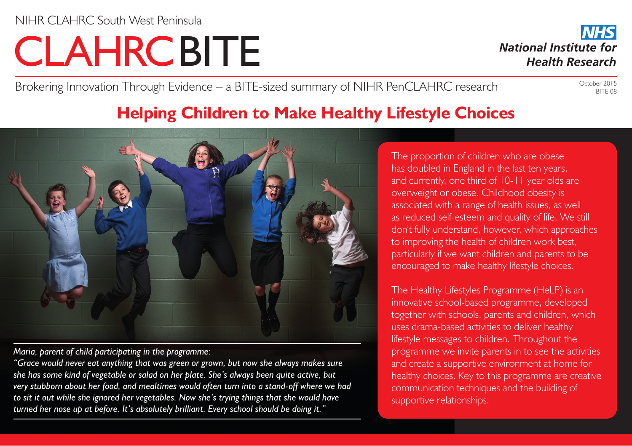# **CLAHRCBITE**

**NHS National Institute for Health Research** 

Brokering Innovation Through Evidence – a BITE-sized summary of NIHR PenCLAHRC research

October 2015 BITE 08

## **Helping Children to Make Healthy Lifestyle Choices**



*Maria, parent of child participating in the programme:*

*"Grace would never eat anything that was green or grown, but now she always makes sure she has some kind of vegetable or salad on her plate. She's always been quite active, but very stubborn about her food, and mealtimes would often turn into a stand-off where we had to sit it out while she ignored her vegetables. Now she's trying things that she would have turned her nose up at before. It's absolutely brilliant. Every school should be doing it."*

The proportion of children who are obese has doubled in England in the last ten years, and currently, one third of 10-11 year olds are overweight or obese. Childhood obesity is associated with a range of health issues, as well as reduced self-esteem and quality of life. We still don't fully understand, however, which approaches to improving the health of children work best, particularly if we want children and parents to be encouraged to make healthy lifestyle choices.

The Healthy Lifestyles Programme (HeLP) is an innovative school-based programme, developed together with schools, parents and children, which uses drama-based activities to deliver healthy lifestyle messages to children. Throughout the programme we invite parents in to see the activities and create a supportive environment at home for healthy choices. Key to this programme are creative communication techniques and the building of supportive relationships.